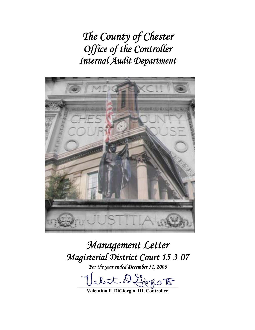*The County of Chester Office of the Controller Internal Audit Department* 



# *Management Letter Magisterial District Court 15-3-07*

*For the year ended December 31, 2006* 

 $\overline{\mathbf{B}}$  or por

**Valentino F. DiGiorgio, III, Controller**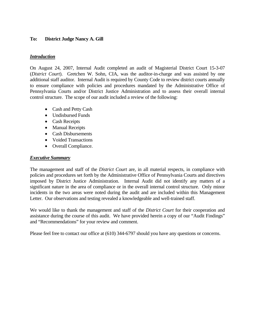## **To: District Judge Nancy A. Gill**

## *Introduction*

On August 24, 2007, Internal Audit completed an audit of Magisterial District Court 15-3-07 (*District Court*). Gretchen W. Sohn, CIA, was the auditor-in-charge and was assisted by one additional staff auditor. Internal Audit is required by County Code to review district courts annually to ensure compliance with policies and procedures mandated by the Administrative Office of Pennsylvania Courts and/or District Justice Administration and to assess their overall internal control structure. The scope of our audit included a review of the following:

- Cash and Petty Cash
- Undisbursed Funds
- Cash Receipts
- Manual Receipts
- Cash Disbursements
- Voided Transactions
- Overall Compliance.

## *Executive Summary*

The management and staff of the *District Court* are, in all material respects, in compliance with policies and procedures set forth by the Administrative Office of Pennsylvania Courts and directives imposed by District Justice Administration. Internal Audit did not identify any matters of a significant nature in the area of compliance or in the overall internal control structure. Only minor incidents in the two areas were noted during the audit and are included within this Management Letter. Our observations and testing revealed a knowledgeable and well-trained staff.

We would like to thank the management and staff of the *District Court* for their cooperation and assistance during the course of this audit. We have provided herein a copy of our "Audit Findings" and "Recommendations" for your review and comment.

Please feel free to contact our office at (610) 344-6797 should you have any questions or concerns.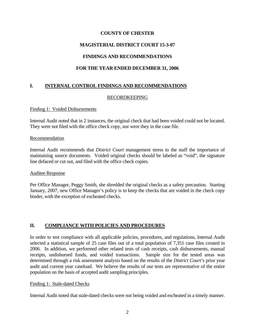## **COUNTY OF CHESTER**

## **MAGISTERIAL DISTRICT COURT 15-3-07**

# **FINDINGS AND RECOMMENDATIONS**

## **FOR THE YEAR ENDED DECEMBER 31, 2006**

# **I. INTERNAL CONTROL FINDINGS AND RECOMMENDATIONS**

## RECORDKEEPING

#### Finding 1: Voided Disbursements

Internal Audit noted that in 2 instances, the original check that had been voided could not be located. They were not filed with the office check copy, nor were they in the case file.

#### Recommendation

Internal Audit recommends that *District Court* management stress to the staff the importance of maintaining source documents. Voided original checks should be labeled as "void", the signature line defaced or cut out, and filed with the office check copies.

#### Auditee Response

Per Office Manager, Peggy Smith, she shredded the original checks as a safety precaution. Starting January, 2007, new Office Manager's policy is to keep the checks that are voided in the check copy binder, with the exception of escheated checks.

## **II. COMPLIANCE WITH POLICIES AND PROCEDURES**

In order to test compliance with all applicable policies, procedures, and regulations, Internal Audit selected a statistical sample of 25 case files out of a total population of 7,351 case files created in 2006. In addition, we performed other related tests of cash receipts, cash disbursements, manual receipts, undisbursed funds, and voided transactions. Sample size for the tested areas was determined through a risk assessment analysis based on the results of the *District Court's* prior year audit and current year caseload. We believe the results of our tests are representative of the entire population on the basis of accepted audit sampling principles.

#### Finding 1: Stale-dated Checks

Internal Audit noted that stale-dated checks were not being voided and escheated in a timely manner.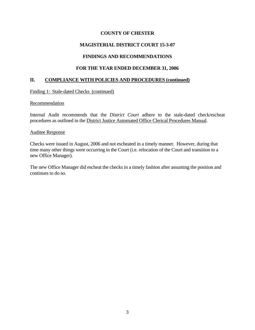## **COUNTY OF CHESTER**

## **MAGISTERIAL DISTRICT COURT 15-3-07**

## **FINDINGS AND RECOMMENDATIONS**

## **FOR THE YEAR ENDED DECEMBER 31, 2006**

## **II. COMPLIANCE WITH POLICIES AND PROCEDURES (continued)**

Finding 1: Stale-dated Checks (continued)

#### Recommendation

Internal Audit recommends that the *District Court* adhere to the stale-dated check/escheat procedures as outlined in the District Justice Automated Office Clerical Procedures Manual.

#### Auditee Response

Checks were issued in August, 2006 and not escheated in a timely manner. However, during that time many other things were occurring in the Court (i.e. relocation of the Court and transition to a new Office Manager).

The new Office Manager did escheat the checks in a timely fashion after assuming the position and continues to do so.